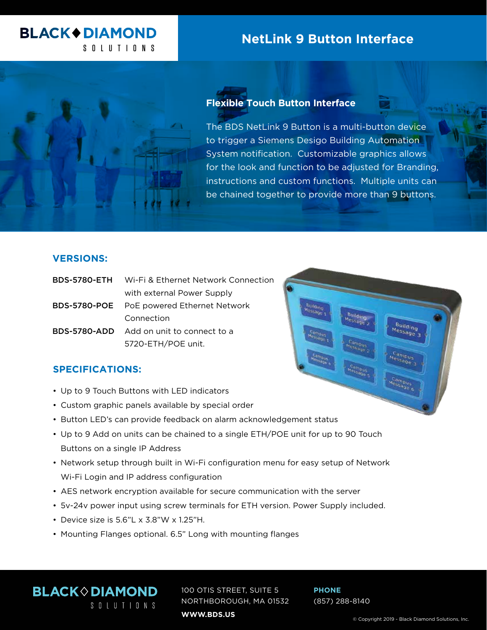# **BLACK+DIAMOND** SOLUTIONS

# **NetLink 9 Button Interface**



## **Flexible Touch Button Interface**

The BDS NetLink 9 Button is a multi-button device to trigger a Siemens Desigo Building Automation System notification. Customizable graphics allows for the look and function to be adjusted for Branding, instructions and custom functions. Multiple units can be chained together to provide more than 9 buttons.

### **VERSIONS:**

| <b>BDS-5780-ETH</b> Wi-Fi & Ethernet Network Connection |
|---------------------------------------------------------|
| with external Power Supply                              |
| BDS-5780-POE PoE powered Ethernet Network               |
| Connection                                              |
| <b>BDS-5780-ADD</b> Add on unit to connect to a         |
| 5720-ETH/POE unit.                                      |
|                                                         |

### **SPECIFICATIONS:**

- Up to 9 Touch Buttons with LED indicators
- Custom graphic panels available by special order
- Button LED's can provide feedback on alarm acknowledgement status
- Up to 9 Add on units can be chained to a single ETH/POE unit for up to 90 Touch Buttons on a single IP Address
- Network setup through built in Wi-Fi configuration menu for easy setup of Network Wi-Fi Login and IP address configuration
- AES network encryption available for secure communication with the server
- 5v-24v power input using screw terminals for ETH version. Power Supply included.
- Device size is 5.6"L x 3.8"W x 1.25"H.
- Mounting Flanges optional. 6.5" Long with mounting flanges

**BLACK OIAMOND** 100 OTIS STREET, SUITE 5 NORTHBOROUGH, MA 01532 SOLUTIONS **WWW.BDS.US**

**PHONE** (857) 288-8140 Building